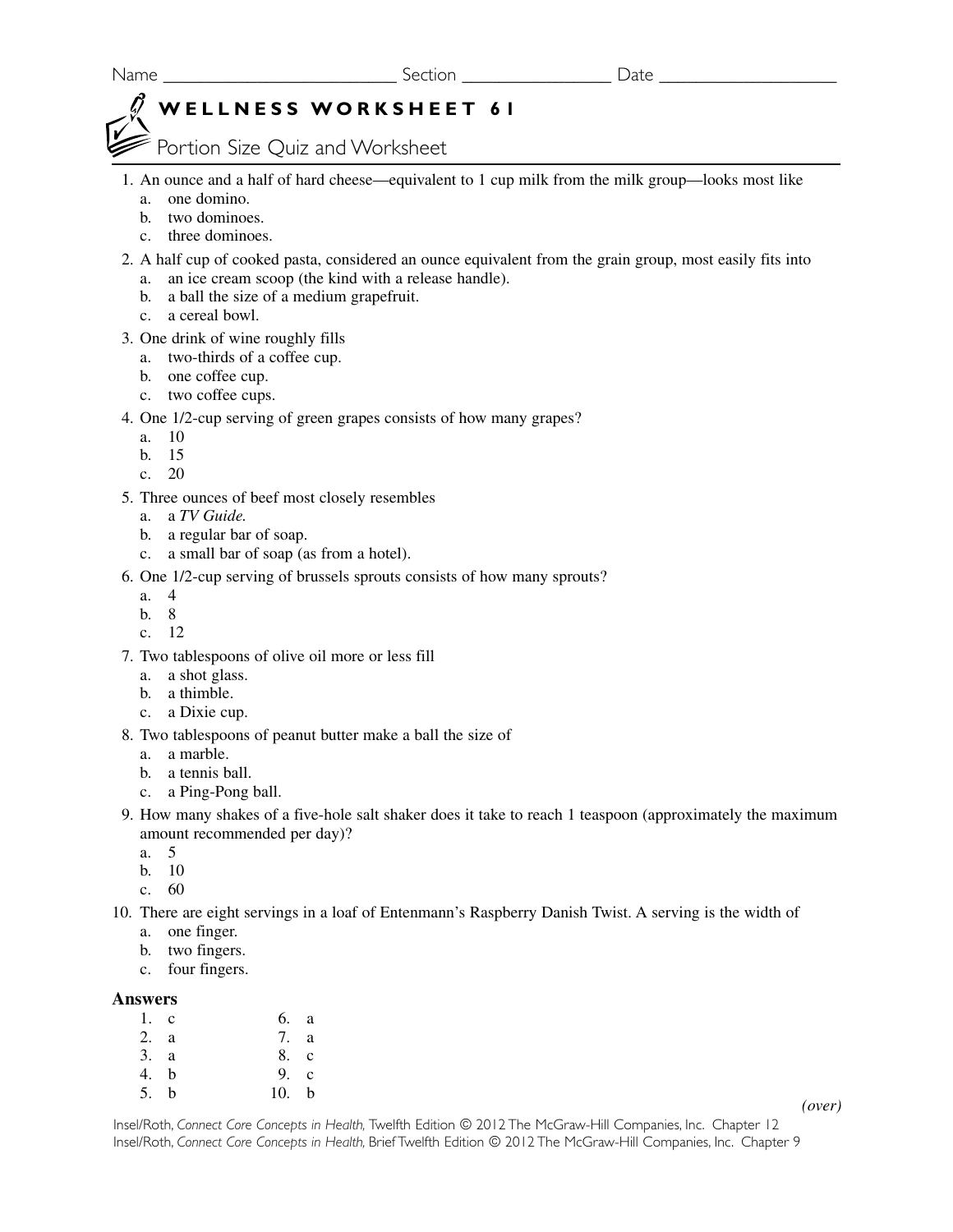# **WELLNESS WORKSHEET 61**

Portion Size Quiz and Worksheet

- 1. An ounce and a half of hard cheese—equivalent to 1 cup milk from the milk group—looks most like a. one domino.
	- b. two dominoes.
	- c. three dominoes.
- 2. A half cup of cooked pasta, considered an ounce equivalent from the grain group, most easily fits into
	- a. an ice cream scoop (the kind with a release handle).
	- b. a ball the size of a medium grapefruit.
	- c. a cereal bowl.
- 3. One drink of wine roughly fills
	- a. two-thirds of a coffee cup.
	- b. one coffee cup.
	- c. two coffee cups.
- 4. One 1/2-cup serving of green grapes consists of how many grapes?
	- a. 10
	- b. 15
	- c. 20
- 5. Three ounces of beef most closely resembles
	- a. a *TV Guide.*
	- b. a regular bar of soap.
	- c. a small bar of soap (as from a hotel).
- 6. One 1/2-cup serving of brussels sprouts consists of how many sprouts?
	- a. 4
	- b. 8
	- c. 12
- 7. Two tablespoons of olive oil more or less fill
	- a. a shot glass.
	- b. a thimble.
	- c. a Dixie cup.
- 8. Two tablespoons of peanut butter make a ball the size of
	- a. a marble.
	- b. a tennis ball.
	- c. a Ping-Pong ball.
- 9. How many shakes of a five-hole salt shaker does it take to reach 1 teaspoon (approximately the maximum amount recommended per day)?
	- a. 5
	- b. 10
	- c. 60
- 10. There are eight servings in a loaf of Entenmann's Raspberry Danish Twist. A serving is the width of
	- a. one finger.
	- b. two fingers.
	- c. four fingers.

### **Answers**

| $1$ . c | 6. a  |  |
|---------|-------|--|
| 2. a    | 7. a  |  |
| 3. a    | 8. c  |  |
| 4. b    | 9. c  |  |
| 5. b    | 10. b |  |

*(over)*

Insel/Roth, *Connect Core Concepts in Health,* Twelfth Edition © 2012 The McGraw-Hill Companies, Inc. Chapter 12 Insel/Roth, *Connect Core Concepts in Health,* Brief Twelfth Edition © 2012 The McGraw-Hill Companies, Inc. Chapter 9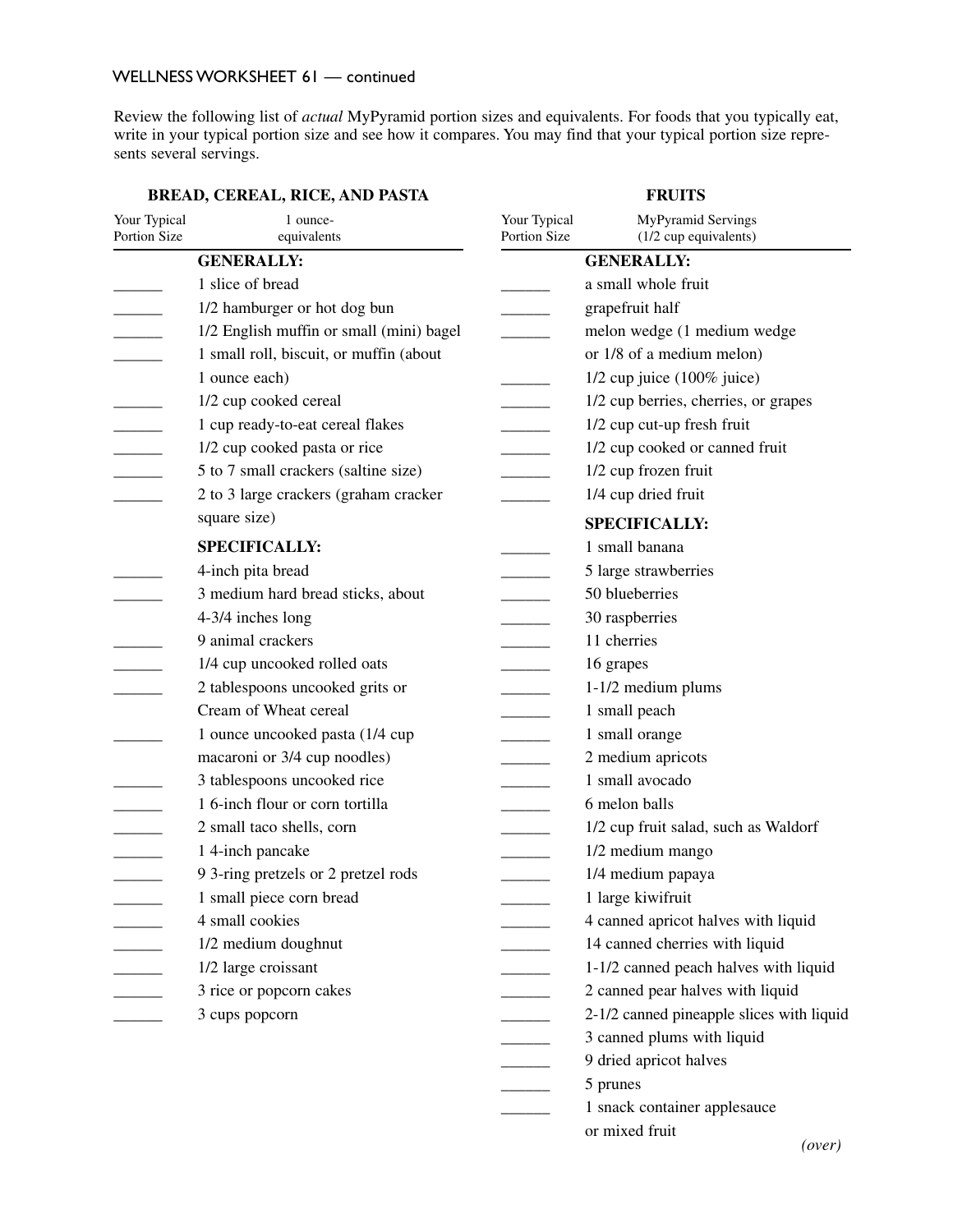### WELLNESS WORKSHEET 61 - continued

Review the following list of *actual* MyPyramid portion sizes and equivalents. For foods that you typically eat, write in your typical portion size and see how it compares. You may find that your typical portion size represents several servings.

| BREAD, CEREAL, RICE, AND PASTA |                                          |                              | <b>FRUITS</b>                               |
|--------------------------------|------------------------------------------|------------------------------|---------------------------------------------|
| Your Typical<br>Portion Size   | 1 ounce-<br>equivalents                  | Your Typical<br>Portion Size | MyPyramid Servings<br>(1/2 cup equivalents) |
|                                | <b>GENERALLY:</b>                        |                              | <b>GENERALLY:</b>                           |
|                                | 1 slice of bread                         |                              | a small whole fruit                         |
|                                | 1/2 hamburger or hot dog bun             |                              | grapefruit half                             |
|                                | 1/2 English muffin or small (mini) bagel |                              | melon wedge (1 medium wedge                 |
|                                | 1 small roll, biscuit, or muffin (about  |                              | or 1/8 of a medium melon)                   |
|                                | 1 ounce each)                            |                              | $1/2$ cup juice $(100\%$ juice)             |
|                                | 1/2 cup cooked cereal                    |                              | 1/2 cup berries, cherries, or grapes        |
| $\overline{\phantom{a}}$       | 1 cup ready-to-eat cereal flakes         |                              | 1/2 cup cut-up fresh fruit                  |
|                                | 1/2 cup cooked pasta or rice             |                              | 1/2 cup cooked or canned fruit              |
| $\overline{\phantom{a}}$       | 5 to 7 small crackers (saltine size)     |                              | 1/2 cup frozen fruit                        |
|                                | 2 to 3 large crackers (graham cracker    |                              | 1/4 cup dried fruit                         |
|                                | square size)                             |                              | <b>SPECIFICALLY:</b>                        |
|                                | <b>SPECIFICALLY:</b>                     |                              | 1 small banana                              |
|                                | 4-inch pita bread                        |                              | 5 large strawberries                        |
|                                | 3 medium hard bread sticks, about        |                              | 50 blueberries                              |
|                                | 4-3/4 inches long                        |                              | 30 raspberries                              |
|                                | 9 animal crackers                        |                              | 11 cherries                                 |
|                                | 1/4 cup uncooked rolled oats             |                              | 16 grapes                                   |
|                                | 2 tablespoons uncooked grits or          |                              | 1-1/2 medium plums                          |
|                                | Cream of Wheat cereal                    |                              | 1 small peach                               |
|                                | 1 ounce uncooked pasta (1/4 cup          |                              | 1 small orange                              |
|                                | macaroni or 3/4 cup noodles)             |                              | 2 medium apricots                           |
|                                | 3 tablespoons uncooked rice              |                              | 1 small avocado                             |
|                                | 1 6-inch flour or corn tortilla          |                              | 6 melon balls                               |
|                                | 2 small taco shells, corn                |                              | 1/2 cup fruit salad, such as Waldorf        |
|                                | 1 4-inch pancake                         |                              | 1/2 medium mango                            |
|                                | 9 3-ring pretzels or 2 pretzel rods      |                              | 1/4 medium papaya                           |
|                                | 1 small piece corn bread                 |                              | 1 large kiwifruit                           |
|                                | 4 small cookies                          |                              | 4 canned apricot halves with liquid         |
|                                | 1/2 medium doughnut                      |                              | 14 canned cherries with liquid              |
|                                | 1/2 large croissant                      |                              | 1-1/2 canned peach halves with liquid       |
|                                | 3 rice or popcorn cakes                  |                              | 2 canned pear halves with liquid            |
|                                | 3 cups popcorn                           |                              | 2-1/2 canned pineapple slices with liquid   |
|                                |                                          |                              | 3 canned plums with liquid                  |
|                                |                                          |                              | 9 dried apricot halves                      |
|                                |                                          |                              | 5 prunes                                    |
|                                |                                          |                              | 1 snack container applesauce                |
|                                |                                          |                              | or mixed fruit                              |

### **BREAD, CEREAL, RICE, AND PASTA**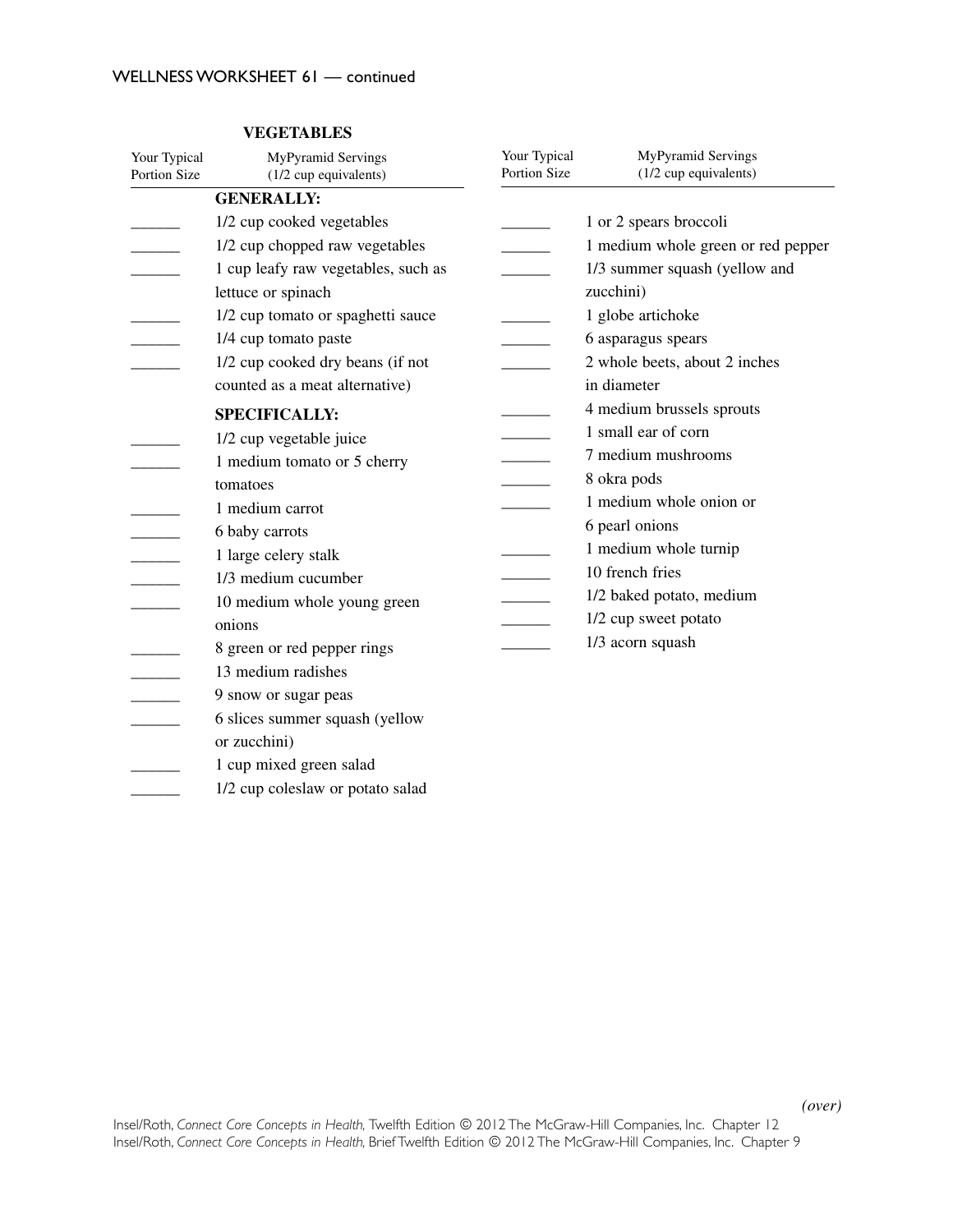| Your Typical<br><b>Portion Size</b> | MyPyramid Servings<br>(1/2 cup equivalents) | Your Typical<br>Portion Size | MyPyramid Servings<br>(1/2 cup equivalents) |
|-------------------------------------|---------------------------------------------|------------------------------|---------------------------------------------|
|                                     | <b>GENERALLY:</b>                           |                              |                                             |
|                                     | 1/2 cup cooked vegetables                   |                              | 1 or 2 spears broccoli                      |
|                                     | 1/2 cup chopped raw vegetables              |                              | 1 medium whole green or red pepper          |
|                                     | 1 cup leafy raw vegetables, such as         |                              | 1/3 summer squash (yellow and               |
|                                     | lettuce or spinach                          |                              | zucchini)                                   |
|                                     | 1/2 cup tomato or spaghetti sauce           |                              | 1 globe artichoke                           |
|                                     | 1/4 cup tomato paste                        |                              | 6 asparagus spears                          |
|                                     | 1/2 cup cooked dry beans (if not            |                              | 2 whole beets, about 2 inches               |
|                                     | counted as a meat alternative)              |                              | in diameter                                 |
|                                     | <b>SPECIFICALLY:</b>                        |                              | 4 medium brussels sprouts                   |
|                                     | 1/2 cup vegetable juice                     |                              | 1 small ear of corn                         |
|                                     | 1 medium tomato or 5 cherry                 |                              | 7 medium mushrooms                          |
|                                     | tomatoes                                    |                              | 8 okra pods                                 |
|                                     | 1 medium carrot                             |                              | 1 medium whole onion or                     |
|                                     | 6 baby carrots                              |                              | 6 pearl onions                              |
|                                     | 1 large celery stalk                        |                              | 1 medium whole turnip                       |
| $\overline{\phantom{a}}$            | 1/3 medium cucumber                         |                              | 10 french fries                             |
|                                     | 10 medium whole young green                 |                              | 1/2 baked potato, medium                    |
|                                     | onions                                      |                              | 1/2 cup sweet potato                        |
|                                     | 8 green or red pepper rings                 |                              | 1/3 acorn squash                            |
|                                     | 13 medium radishes                          |                              |                                             |
|                                     | 9 snow or sugar peas                        |                              |                                             |
|                                     | 6 slices summer squash (yellow              |                              |                                             |
|                                     | or zucchini)                                |                              |                                             |
|                                     | 1 cup mixed green salad                     |                              |                                             |
|                                     | 1/2 cup coleslaw or potato salad            |                              |                                             |

## **VEGETABLES**